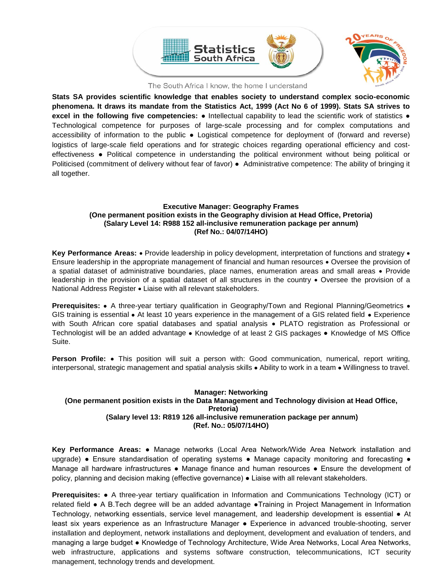

The South Africa I know, the home I understand

**Stats SA provides scientific knowledge that enables society to understand complex socio-economic phenomena. It draws its mandate from the Statistics Act, 1999 (Act No 6 of 1999). Stats SA strives to excel in the following five competencies:** ● Intellectual capability to lead the scientific work of statistics ● Technological competence for purposes of large-scale processing and for complex computations and accessibility of information to the public ● Logistical competence for deployment of (forward and reverse) logistics of large-scale field operations and for strategic choices regarding operational efficiency and costeffectiveness ● Political competence in understanding the political environment without being political or Politicised (commitment of delivery without fear of favor) ● Administrative competence: The ability of bringing it all together.

### **Executive Manager: Geography Frames (One permanent position exists in the Geography division at Head Office, Pretoria) (Salary Level 14: R988 152 all-inclusive remuneration package per annum) (Ref No.: 04/07/14HO)**

**Key Performance Areas:** • Provide leadership in policy development, interpretation of functions and strategy • Ensure leadership in the appropriate management of financial and human resources • Oversee the provision of a spatial dataset of administrative boundaries, place names, enumeration areas and small areas • Provide leadership in the provision of a spatial dataset of all structures in the country • Oversee the provision of a National Address Register • Liaise with all relevant stakeholders.

**Prerequisites:** • A three-year tertiary qualification in Geography/Town and Regional Planning/Geometrics • GIS training is essential • At least 10 years experience in the management of a GIS related field • Experience with South African core spatial databases and spatial analysis • PLATO registration as Professional or Technologist will be an added advantage • Knowledge of at least 2 GIS packages • Knowledge of MS Office Suite.

**Person Profile:** • This position will suit a person with: Good communication, numerical, report writing, interpersonal, strategic management and spatial analysis skills • Ability to work in a team • Willingness to travel.

# **Manager: Networking (One permanent position exists in the Data Management and Technology division at Head Office, Pretoria) (Salary level 13: R819 126 all-inclusive remuneration package per annum) (Ref. No.: 05/07/14HO)**

**Key Performance Areas:** ● Manage networks (Local Area Network/Wide Area Network installation and upgrade) • Ensure standardisation of operating systems • Manage capacity monitoring and forecasting • Manage all hardware infrastructures • Manage finance and human resources • Ensure the development of policy, planning and decision making (effective governance) ● Liaise with all relevant stakeholders.

**Prerequisites:** ● A three-year tertiary qualification in Information and Communications Technology (ICT) or related field ● A B.Tech degree will be an added advantage ●Training in Project Management in Information Technology, networking essentials, service level management, and leadership development is essential ● At least six years experience as an Infrastructure Manager ● Experience in advanced trouble-shooting, server installation and deployment, network installations and deployment, development and evaluation of tenders, and managing a large budget ● Knowledge of Technology Architecture, Wide Area Networks, Local Area Networks, web infrastructure, applications and systems software construction, telecommunications, ICT security management, technology trends and development.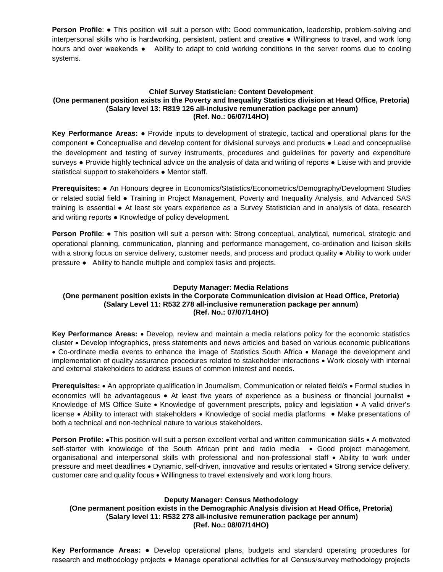**Person Profile: •** This position will suit a person with: Good communication, leadership, problem-solving and interpersonal skills who is hardworking, persistent, patient and creative ● Willingness to travel, and work long hours and over weekends • Ability to adapt to cold working conditions in the server rooms due to cooling systems.

## **Chief Survey Statistician: Content Development (One permanent position exists in the Poverty and Inequality Statistics division at Head Office, Pretoria) (Salary level 13: R819 126 all-inclusive remuneration package per annum) (Ref. No.: 06/07/14HO)**

**Key Performance Areas:** ● Provide inputs to development of strategic, tactical and operational plans for the component ● Conceptualise and develop content for divisional surveys and products ● Lead and conceptualise the development and testing of survey instruments, procedures and guidelines for poverty and expenditure surveys • Provide highly technical advice on the analysis of data and writing of reports • Liaise with and provide statistical support to stakeholders • Mentor staff.

**Prerequisites:** ● An Honours degree in Economics/Statistics/Econometrics/Demography/Development Studies or related social field ● Training in Project Management, Poverty and Inequality Analysis, and Advanced SAS training is essential ● At least six years experience as a Survey Statistician and in analysis of data, research and writing reports ● Knowledge of policy development.

**Person Profile: ●** This position will suit a person with: Strong conceptual, analytical, numerical, strategic and operational planning, communication, planning and performance management, co-ordination and liaison skills with a strong focus on service delivery, customer needs, and process and product quality ● Ability to work under pressure ● Ability to handle multiple and complex tasks and projects.

# **Deputy Manager: Media Relations**

# **(One permanent position exists in the Corporate Communication division at Head Office, Pretoria) (Salary Level 11: R532 278 all-inclusive remuneration package per annum) (Ref. No.: 07/07/14HO)**

**Key Performance Areas:** • Develop, review and maintain a media relations policy for the economic statistics cluster • Develop infographics, press statements and news articles and based on various economic publications • Co-ordinate media events to enhance the image of Statistics South Africa • Manage the development and implementation of quality assurance procedures related to stakeholder interactions • Work closely with internal and external stakeholders to address issues of common interest and needs.

**Prerequisites:** • An appropriate qualification in Journalism, Communication or related field/s • Formal studies in economics will be advantageous • At least five years of experience as a business or financial journalist • Knowledge of MS Office Suite • Knowledge of government prescripts, policy and legislation • A valid driver's license • Ability to interact with stakeholders • Knowledge of social media platforms • Make presentations of both a technical and non-technical nature to various stakeholders.

**Person Profile:** •This position will suit a person excellent verbal and written communication skills • A motivated self-starter with knowledge of the South African print and radio media • Good project management, organisational and interpersonal skills with professional and non-professional staff • Ability to work under pressure and meet deadlines • Dynamic, self-driven, innovative and results orientated • Strong service delivery, customer care and quality focus • Willingness to travel extensively and work long hours.

# **Deputy Manager: Census Methodology**

# **(One permanent position exists in the Demographic Analysis division at Head Office, Pretoria) (Salary level 11: R532 278 all-inclusive remuneration package per annum) (Ref. No.: 08/07/14HO)**

**Key Performance Areas:** ● Develop operational plans, budgets and standard operating procedures for research and methodology projects ● Manage operational activities for all Census/survey methodology projects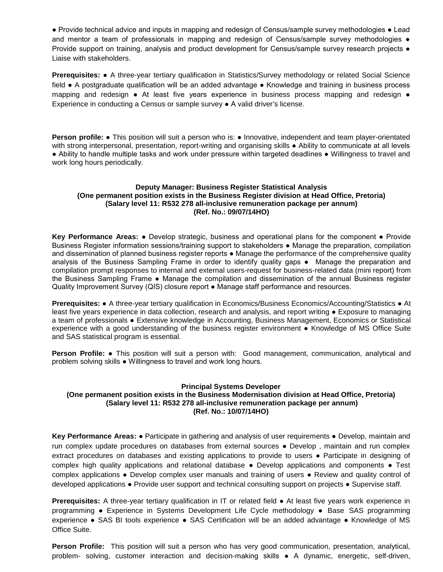● Provide technical advice and inputs in mapping and redesign of Census/sample survey methodologies ● Lead and mentor a team of professionals in mapping and redesign of Census/sample survey methodologies  $\bullet$ Provide support on training, analysis and product development for Census/sample survey research projects ● Liaise with stakeholders.

**Prerequisites:** ● A three-year tertiary qualification in Statistics/Survey methodology or related Social Science field ● A postgraduate qualification will be an added advantage ● Knowledge and training in business process mapping and redesign ● At least five years experience in business process mapping and redesign ● Experience in conducting a Census or sample survey ● A valid driver's license.

**Person profile: •** This position will suit a person who is: • Innovative, independent and team player-orientated with strong interpersonal, presentation, report-writing and organising skills ● Ability to communicate at all levels ● Ability to handle multiple tasks and work under pressure within targeted deadlines ● Willingness to travel and work long hours periodically.

### **Deputy Manager: Business Register Statistical Analysis (One permanent position exists in the Business Register division at Head Office, Pretoria) (Salary level 11: R532 278 all-inclusive remuneration package per annum) (Ref. No.: 09/07/14HO)**

**Key Performance Areas:** ● Develop strategic, business and operational plans for the component ● Provide Business Register information sessions/training support to stakeholders ● Manage the preparation, compilation and dissemination of planned business register reports • Manage the performance of the comprehensive quality analysis of the Business Sampling Frame in order to identify quality gaps • Manage the preparation and compilation prompt responses to internal and external users-request for business-related data (mini report) from the Business Sampling Frame ● Manage the compilation and dissemination of the annual Business register Quality Improvement Survey (QIS) closure report ● Manage staff performance and resources.

**Prerequisites:** ● A three-year tertiary qualification in Economics/Business Economics/Accounting/Statistics ● At least five years experience in data collection, research and analysis, and report writing ● Exposure to managing a team of professionals ● Extensive knowledge in Accounting, Business Management, Economics or Statistical experience with a good understanding of the business register environment ● Knowledge of MS Office Suite and SAS statistical program is essential.

**Person Profile:** ● This position will suit a person with: Good management, communication, analytical and problem solving skills ● Willingness to travel and work long hours.

### **Principal Systems Developer**

#### **(One permanent position exists in the Business Modernisation division at Head Office, Pretoria) (Salary level 11: R532 278 all-inclusive remuneration package per annum) (Ref. No.: 10/07/14HO)**

**Key Performance Areas:** ● Participate in gathering and analysis of user requirements ● Develop, maintain and run complex update procedures on databases from external sources ● Develop , maintain and run complex extract procedures on databases and existing applications to provide to users ● Participate in designing of complex high quality applications and relational database • Develop applications and components • Test complex applications ● Develop complex user manuals and training of users ● Review and quality control of developed applications ● Provide user support and technical consulting support on projects ● Supervise staff.

**Prerequisites:** A three-year tertiary qualification in IT or related field ● At least five years work experience in programming ● Experience in Systems Development Life Cycle methodology **●** Base SAS programming experience **●** SAS BI tools experience **●** SAS Certification will be an added advantage ● Knowledge of MS Office Suite.

**Person Profile:** This position will suit a person who has very good communication, presentation, analytical, problem- solving, customer interaction and decision-making skills ● A dynamic, energetic, self-driven,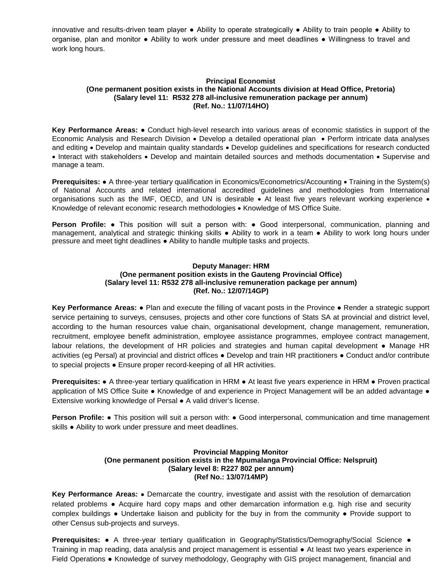innovative and results-driven team player ● Ability to operate strategically ● Ability to train people ● Ability to organise, plan and monitor ● Ability to work under pressure and meet deadlines ● Willingness to travel and work long hours.

# **Principal Economist (One permanent position exists in the National Accounts division at Head Office, Pretoria) (Salary level 11: R532 278 all-inclusive remuneration package per annum) (Ref. No.: 11/07/14HO)**

**Key Performance Areas:** ● Conduct high-level research into various areas of economic statistics in support of the Economic Analysis and Research Division • Develop a detailed operational plan • Perform intricate data analyses and editing • Develop and maintain quality standards • Develop guidelines and specifications for research conducted • Interact with stakeholders • Develop and maintain detailed sources and methods documentation • Supervise and manage a team.

**Prerequisites: ●** A three-year tertiary qualification in Economics/Econometrics/Accounting • Training in the System(s) of National Accounts and related international accredited guidelines and methodologies from International organisations such as the IMF, OECD, and UN is desirable • At least five years relevant working experience • Knowledge of relevant economic research methodologies • Knowledge of MS Office Suite.

**Person Profile:** ● This position will suit a person with: ● Good interpersonal, communication, planning and management, analytical and strategic thinking skills ● Ability to work in a team ● Ability to work long hours under pressure and meet tight deadlines ● Ability to handle multiple tasks and projects.

### **Deputy Manager: HRM (One permanent position exists in the Gauteng Provincial Office) (Salary level 11: R532 278 all-inclusive remuneration package per annum) (Ref. No.: 12/07/14GP)**

**Key Performance Areas:** ● Plan and execute the filling of vacant posts in the Province ● Render a strategic support service pertaining to surveys, censuses, projects and other core functions of Stats SA at provincial and district level, according to the human resources value chain, organisational development, change management, remuneration, recruitment, employee benefit administration, employee assistance programmes, employee contract management, labour relations, the development of HR policies and strategies and human capital development ● Manage HR activities (eg Persal) at provincial and district offices ● Develop and train HR practitioners ● Conduct and/or contribute to special projects ● Ensure proper record-keeping of all HR activities.

**Prerequisites:** ● A three-year tertiary qualification in HRM ● At least five years experience in HRM ● Proven practical application of MS Office Suite ● Knowledge of and experience in Project Management will be an added advantage ● Extensive working knowledge of Persal ● A valid driver's license.

**Person Profile: •** This position will suit a person with: • Good interpersonal, communication and time management skills • Ability to work under pressure and meet deadlines.

## **Provincial Mapping Monitor (One permanent position exists in the Mpumalanga Provincial Office: Nelspruit) (Salary level 8: R227 802 per annum) (Ref No.: 13/07/14MP)**

**Key Performance Areas:** • Demarcate the country, investigate and assist with the resolution of demarcation related problems ● Acquire hard copy maps and other demarcation information e.g. high rise and security complex buildings ● Undertake liaison and publicity for the buy in from the community ● Provide support to other Census sub-projects and surveys.

**Prerequisites:** ● A three-year tertiary qualification in Geography/Statistics/Demography/Social Science ● Training in map reading, data analysis and project management is essential ● At least two years experience in Field Operations ● Knowledge of survey methodology, Geography with GIS project management, financial and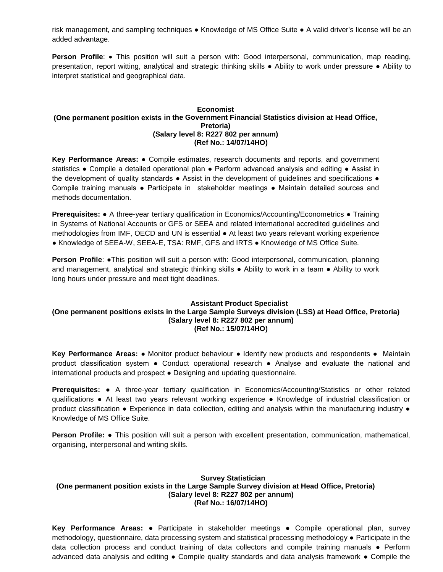risk management, and sampling techniques ● Knowledge of MS Office Suite ● A valid driver's license will be an added advantage.

**Person Profile:** • This position will suit a person with: Good interpersonal, communication, map reading, presentation, report witting, analytical and strategic thinking skills ● Ability to work under pressure ● Ability to interpret statistical and geographical data.

# **Economist (One permanent position exists in the Government Financial Statistics division at Head Office, Pretoria) (Salary level 8: R227 802 per annum) (Ref No.: 14/07/14HO)**

**Key Performance Areas:** ● Compile estimates, research documents and reports, and government statistics • Compile a detailed operational plan • Perform advanced analysis and editing • Assist in the development of quality standards • Assist in the development of guidelines and specifications • Compile training manuals ● Participate in stakeholder meetings ● Maintain detailed sources and methods documentation.

**Prerequisites:** ● A three-year tertiary qualification in Economics/Accounting/Econometrics ● Training in Systems of National Accounts or GFS or SEEA and related international accredited guidelines and methodologies from IMF, OECD and UN is essential ● At least two years relevant working experience ● Knowledge of SEEA-W, SEEA-E, TSA: RMF, GFS and IRTS ● Knowledge of MS Office Suite.

**Person Profile: •This position will suit a person with: Good interpersonal, communication, planning** and management, analytical and strategic thinking skills ● Ability to work in a team ● Ability to work long hours under pressure and meet tight deadlines.

### **Assistant Product Specialist (One permanent positions exists in the Large Sample Surveys division (LSS) at Head Office, Pretoria) (Salary level 8: R227 802 per annum) (Ref No.: 15/07/14HO)**

**Key Performance Areas:** ● Monitor product behaviour ● Identify new products and respondents ● Maintain product classification system ● Conduct operational research ● Analyse and evaluate the national and international products and prospect ● Designing and updating questionnaire.

**Prerequisites:** ● A three-year tertiary qualification in Economics/Accounting/Statistics or other related qualifications ● At least two years relevant working experience ● Knowledge of industrial classification or product classification ● Experience in data collection, editing and analysis within the manufacturing industry ● Knowledge of MS Office Suite.

**Person Profile:** ● This position will suit a person with excellent presentation, communication, mathematical, organising, interpersonal and writing skills.

# **Survey Statistician (One permanent position exists in the Large Sample Survey division at Head Office, Pretoria) (Salary level 8: R227 802 per annum) (Ref No.: 16/07/14HO)**

**Key Performance Areas:** ● Participate in stakeholder meetings ● Compile operational plan, survey methodology, questionnaire, data processing system and statistical processing methodology ● Participate in the data collection process and conduct training of data collectors and compile training manuals ● Perform advanced data analysis and editing ● Compile quality standards and data analysis framework ● Compile the